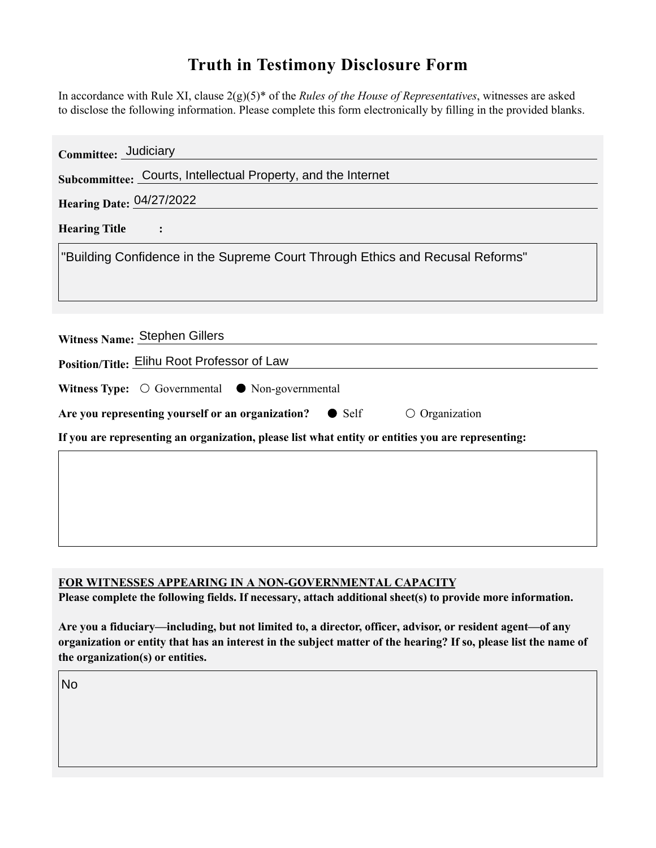## **Truth in Testimony Disclosure Form**

In accordance with Rule XI, clause 2(g)(5)\* of the *Rules of the House of Representatives*, witnesses are asked to disclose the following information. Please complete this form electronically by filling in the provided blanks.

| Committee: Judiciary                                                                               |
|----------------------------------------------------------------------------------------------------|
| Subcommittee: Courts, Intellectual Property, and the Internet                                      |
| <b>Hearing Date: 04/27/2022</b>                                                                    |
| <b>Hearing Title</b>                                                                               |
| "Building Confidence in the Supreme Court Through Ethics and Recusal Reforms"                      |
|                                                                                                    |
| Witness Name: Stephen Gillers                                                                      |
| Position/Title: Elihu Root Professor of Law                                                        |
| Witness Type: $\bigcirc$ Governmental $\bullet$ Non-governmental                                   |
| Are you representing yourself or an organization?<br>$\circ$ Organization<br>$\bullet$ Self        |
| If you are representing an organization, please list what entity or entities you are representing: |
|                                                                                                    |
|                                                                                                    |
|                                                                                                    |
|                                                                                                    |

## **FOR WITNESSES APPEARING IN A NON-GOVERNMENTAL CAPACITY**

**Please complete the following fields. If necessary, attach additional sheet(s) to provide more information.**

**Are you a fiduciary—including, but not limited to, a director, officer, advisor, or resident agent—of any organization or entity that has an interest in the subject matter of the hearing? If so, please list the name of the organization(s) or entities.**

No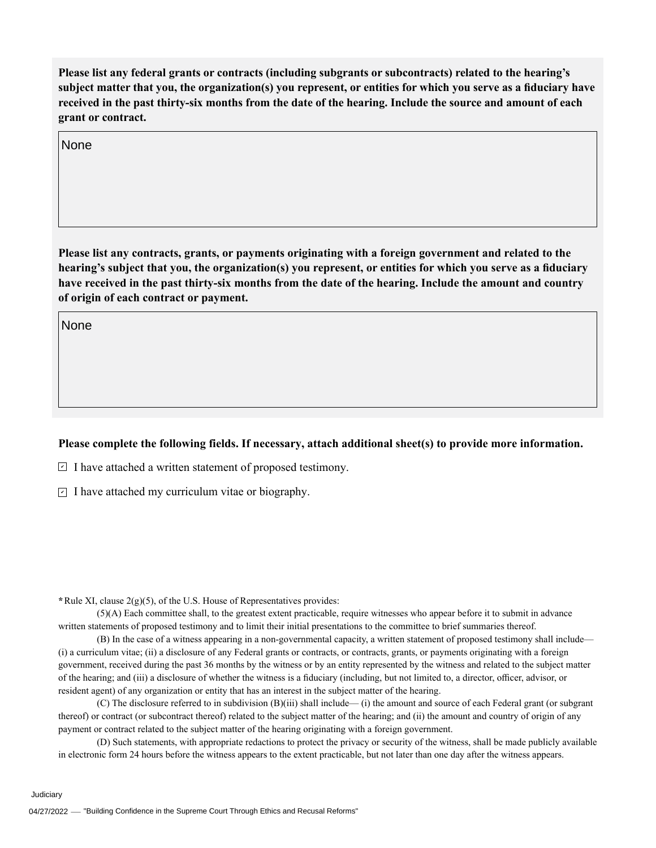**Please list any federal grants or contracts (including subgrants or subcontracts) related to the hearing's subject matter that you, the organization(s) you represent, or entities for which you serve as a fiduciary have received in the past thirty-six months from the date of the hearing. Include the source and amount of each grant or contract.** 

None

**Please list any contracts, grants, or payments originating with a foreign government and related to the hearing's subject that you, the organization(s) you represent, or entities for which you serve as a fiduciary have received in the past thirty-six months from the date of the hearing. Include the amount and country of origin of each contract or payment.** 

None

## **Please complete the following fields. If necessary, attach additional sheet(s) to provide more information.**

 $\exists$  I have attached a written statement of proposed testimony.

 $\subseteq$  I have attached my curriculum vitae or biography.

**\***Rule XI, clause 2(g)(5), of the U.S. House of Representatives provides:

(5)(A) Each committee shall, to the greatest extent practicable, require witnesses who appear before it to submit in advance written statements of proposed testimony and to limit their initial presentations to the committee to brief summaries thereof.

(B) In the case of a witness appearing in a non-governmental capacity, a written statement of proposed testimony shall include— (i) a curriculum vitae; (ii) a disclosure of any Federal grants or contracts, or contracts, grants, or payments originating with a foreign government, received during the past 36 months by the witness or by an entity represented by the witness and related to the subject matter of the hearing; and (iii) a disclosure of whether the witness is a fiduciary (including, but not limited to, a director, officer, advisor, or resident agent) of any organization or entity that has an interest in the subject matter of the hearing.

(C) The disclosure referred to in subdivision (B)(iii) shall include— (i) the amount and source of each Federal grant (or subgrant thereof) or contract (or subcontract thereof) related to the subject matter of the hearing; and (ii) the amount and country of origin of any payment or contract related to the subject matter of the hearing originating with a foreign government.

(D) Such statements, with appropriate redactions to protect the privacy or security of the witness, shall be made publicly available in electronic form 24 hours before the witness appears to the extent practicable, but not later than one day after the witness appears.